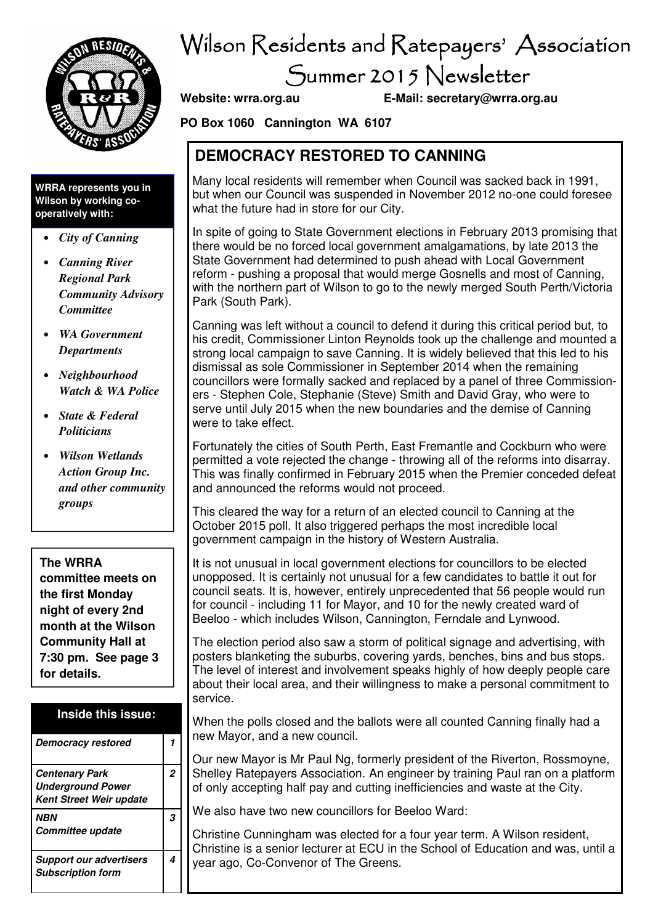

## Wilson Residents and Ratepayers' Association Summer 2015 Newsletter

**Website: wrra.org.au E-Mail: secretary@wrra.org.au** 

**PO Box 1060 Cannington WA 6107** 

### **DEMOCRACY RESTORED TO CANNING**

Many local residents will remember when Council was sacked back in 1991, but when our Council was suspended in November 2012 no-one could foresee what the future had in store for our City.

In spite of going to State Government elections in February 2013 promising that there would be no forced local government amalgamations, by late 2013 the State Government had determined to push ahead with Local Government reform - pushing a proposal that would merge Gosnells and most of Canning, with the northern part of Wilson to go to the newly merged South Perth/Victoria Park (South Park).

Canning was left without a council to defend it during this critical period but, to his credit, Commissioner Linton Reynolds took up the challenge and mounted a strong local campaign to save Canning. It is widely believed that this led to his dismissal as sole Commissioner in September 2014 when the remaining councillors were formally sacked and replaced by a panel of three Commissioners - Stephen Cole, Stephanie (Steve) Smith and David Gray, who were to serve until July 2015 when the new boundaries and the demise of Canning were to take effect.

Fortunately the cities of South Perth, East Fremantle and Cockburn who were permitted a vote rejected the change - throwing all of the reforms into disarray. This was finally confirmed in February 2015 when the Premier conceded defeat and announced the reforms would not proceed.

This cleared the way for a return of an elected council to Canning at the October 2015 poll. It also triggered perhaps the most incredible local government campaign in the history of Western Australia.

It is not unusual in local government elections for councillors to be elected unopposed. It is certainly not unusual for a few candidates to battle it out for council seats. It is, however, entirely unprecedented that 56 people would run for council - including 11 for Mayor, and 10 for the newly created ward of Beeloo - which includes Wilson, Cannington, Ferndale and Lynwood.

The election period also saw a storm of political signage and advertising, with posters blanketing the suburbs, covering yards, benches, bins and bus stops. The level of interest and involvement speaks highly of how deeply people care about their local area, and their willingness to make a personal commitment to service.

When the polls closed and the ballots were all counted Canning finally had a new Mayor, and a new council.

Our new Mayor is Mr Paul Ng, formerly president of the Riverton, Rossmoyne, Shelley Ratepayers Association. An engineer by training Paul ran on a platform of only accepting half pay and cutting inefficiencies and waste at the City.

We also have two new councillors for Beeloo Ward:

Christine Cunningham was elected for a four year term. A Wilson resident, Christine is a senior lecturer at ECU in the School of Education and was, until a year ago, Co-Convenor of The Greens.

**WRRA represents you in Wilson by working cooperatively with:** 

- *City of Canning*
- *Canning River Regional Park Community Advisory Committee*
- *WA Government Departments*
- *Neighbourhood Watch & WA Police*
- *State & Federal Politicians*
- *Wilson Wetlands Action Group Inc. and other community groups*

**The WRRA committee meets on the first Monday night of every 2nd month at the Wilson Community Hall at** 

**7:30 pm. See page 3 for details.** 

### **Inside this issue:**

| <b>Democracy restored</b>                                                           |   |
|-------------------------------------------------------------------------------------|---|
| <b>Centenary Park</b><br><b>Underground Power</b><br><b>Kent Street Weir update</b> | 2 |
| <b>NRN</b><br>Committee update                                                      |   |
| <b>Support our advertisers</b><br><b>Subscription form</b>                          |   |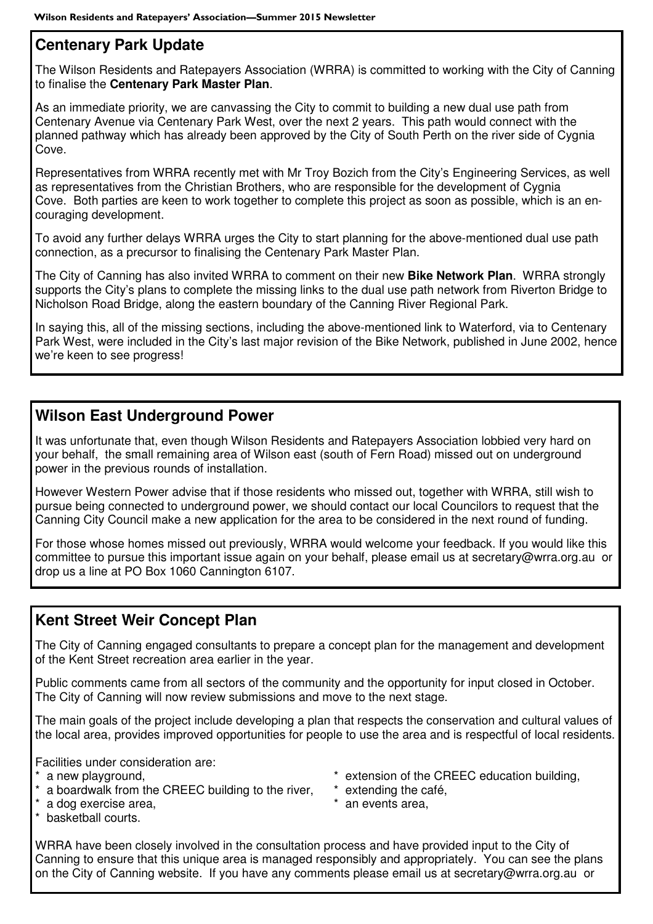### **Centenary Park Update**

The Wilson Residents and Ratepayers Association (WRRA) is committed to working with the City of Canning to finalise the **Centenary Park Master Plan**.

As an immediate priority, we are canvassing the City to commit to building a new dual use path from Centenary Avenue via Centenary Park West, over the next 2 years. This path would connect with the planned pathway which has already been approved by the City of South Perth on the river side of Cygnia Cove.

Representatives from WRRA recently met with Mr Troy Bozich from the City's Engineering Services, as well as representatives from the Christian Brothers, who are responsible for the development of Cygnia Cove. Both parties are keen to work together to complete this project as soon as possible, which is an encouraging development.

To avoid any further delays WRRA urges the City to start planning for the above-mentioned dual use path connection, as a precursor to finalising the Centenary Park Master Plan.

The City of Canning has also invited WRRA to comment on their new **Bike Network Plan**. WRRA strongly supports the City's plans to complete the missing links to the dual use path network from Riverton Bridge to Nicholson Road Bridge, along the eastern boundary of the Canning River Regional Park.

In saying this, all of the missing sections, including the above-mentioned link to Waterford, via to Centenary Park West, were included in the City's last major revision of the Bike Network, published in June 2002, hence we're keen to see progress!

### **Wilson East Underground Power**

It was unfortunate that, even though Wilson Residents and Ratepayers Association lobbied very hard on your behalf, the small remaining area of Wilson east (south of Fern Road) missed out on underground power in the previous rounds of installation.

However Western Power advise that if those residents who missed out, together with WRRA, still wish to pursue being connected to underground power, we should contact our local Councilors to request that the Canning City Council make a new application for the area to be considered in the next round of funding.

For those whose homes missed out previously, WRRA would welcome your feedback. If you would like this committee to pursue this important issue again on your behalf, please email us at secretary@wrra.org.au or drop us a line at PO Box 1060 Cannington 6107.

### **Kent Street Weir Concept Plan**

The City of Canning engaged consultants to prepare a concept plan for the management and development of the Kent Street recreation area earlier in the year.

Public comments came from all sectors of the community and the opportunity for input closed in October. The City of Canning will now review submissions and move to the next stage.

The main goals of the project include developing a plan that respects the conservation and cultural values of the local area, provides improved opportunities for people to use the area and is respectful of local residents.

Facilities under consideration are:

- 
- a boardwalk from the CREEC building to the river, \* extending the café,
- \* a dog exercise area,  $\ddot{\phantom{a}}$  an events area,
- \* basketball courts.
- \* a new playground, the state of the CREEC education building,
	-
	-

WRRA have been closely involved in the consultation process and have provided input to the City of Canning to ensure that this unique area is managed responsibly and appropriately. You can see the plans on the City of Canning website. If you have any comments please email us at secretary@wrra.org.au or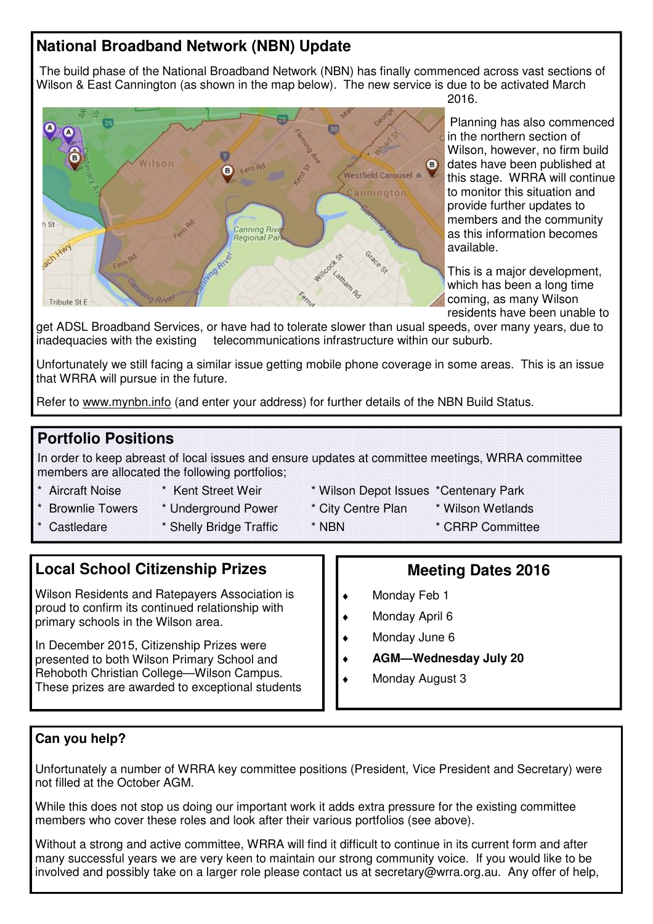### **National Broadband Network (NBN) Update**

 The build phase of the National Broadband Network (NBN) has finally commenced across vast sections of Wilson & East Cannington (as shown in the map below). The new service is due to be activated March 2016.



Planning has also commenced in the northern section of Wilson, however, no firm build dates have been published at this stage. WRRA will continue to monitor this situation and provide further updates to members and the community as this information becomes available.

This is a major development, which has been a long time coming, as many Wilson residents have been unable to

get ADSL Broadband Services, or have had to tolerate slower than usual speeds, over many years, due to inadequacies with the existing telecommunications infrastructure within our suburb.

Unfortunately we still facing a similar issue getting mobile phone coverage in some areas. This is an issue that WRRA will pursue in the future.

Refer to www.mynbn.info (and enter your address) for further details of the NBN Build Status.

### **Portfolio Positions**

In order to keep abreast of local issues and ensure updates at committee meetings, WRRA committee members are allocated the following portfolios;

- 
- 
- 
- Castledare \* Shelly Bridge Traffic \* NBN \* CRRP Committee
- \* Aircraft Noise \* Kent Street Weir \* Wilson Depot Issues \*Centenary Park
	-
- \* Brownlie Towers \* Underground Power \* City Centre Plan \* Wilson Wetlands

**Local School Citizenship Prizes** 

Wilson Residents and Ratepayers Association is proud to confirm its continued relationship with primary schools in the Wilson area.

In December 2015, Citizenship Prizes were presented to both Wilson Primary School and Rehoboth Christian College—Wilson Campus. These prizes are awarded to exceptional students

### **Meeting Dates 2016**

- Monday Feb 1
- Monday April 6
- Monday June 6
- ♦ **AGM—Wednesday July 20**
- Monday August 3

### **Can you help?**

Unfortunately a number of WRRA key committee positions (President, Vice President and Secretary) were not filled at the October AGM.

While this does not stop us doing our important work it adds extra pressure for the existing committee members who cover these roles and look after their various portfolios (see above).

Without a strong and active committee, WRRA will find it difficult to continue in its current form and after many successful years we are very keen to maintain our strong community voice. If you would like to be involved and possibly take on a larger role please contact us at secretary@wrra.org.au. Any offer of help,